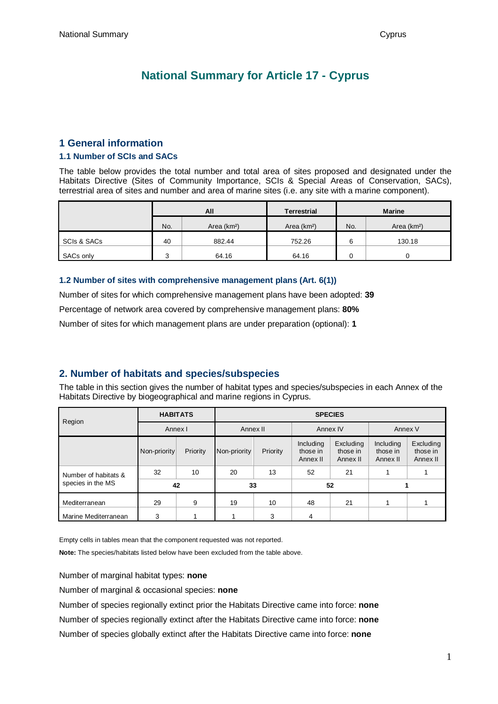# **National Summary for Article 17 - Cyprus**

### **1 General information**

#### **1.1 Number of SCIs and SACs**

The table below provides the total number and total area of sites proposed and designated under the Habitats Directive (Sites of Community Importance, SCIs & Special Areas of Conservation, SACs), terrestrial area of sites and number and area of marine sites (i.e. any site with a marine component).

|             | All |              | <b>Terrestrial</b>      | <b>Marine</b> |                         |  |
|-------------|-----|--------------|-------------------------|---------------|-------------------------|--|
|             | No. | Area $(km2)$ | Area (km <sup>2</sup> ) | No.           | Area (km <sup>2</sup> ) |  |
| SCIs & SACs | 40  | 882.44       | 752.26                  | 6             | 130.18                  |  |
| SACs only   |     | 64.16        | 64.16                   |               |                         |  |

### **1.2 Number of sites with comprehensive management plans (Art. 6(1))**

Number of sites for which comprehensive management plans have been adopted: **39** Percentage of network area covered by comprehensive management plans: **80%** Number of sites for which management plans are under preparation (optional): **1**

## **2. Number of habitats and species/subspecies**

The table in this section gives the number of habitat types and species/subspecies in each Annex of the Habitats Directive by biogeographical and marine regions in Cyprus.

| Region               | <b>HABITATS</b> |          | <b>SPECIES</b> |          |                                   |                                   |                                   |                                   |  |
|----------------------|-----------------|----------|----------------|----------|-----------------------------------|-----------------------------------|-----------------------------------|-----------------------------------|--|
|                      | Annex I         |          | Annex II       |          | Annex IV                          |                                   | Annex V                           |                                   |  |
|                      | Non-priority    | Priority | Non-priority   | Priority | Including<br>those in<br>Annex II | Excluding<br>those in<br>Annex II | Including<br>those in<br>Annex II | Excluding<br>those in<br>Annex II |  |
| Number of habitats & | 32              | 10       | 20             | 13       | 52                                | 21                                |                                   |                                   |  |
| species in the MS    | 42              |          | 33             |          | 52                                |                                   |                                   |                                   |  |
| Mediterranean        | 29              | 9        | 19             | 10       | 48                                | 21                                |                                   |                                   |  |
| Marine Mediterranean | 3               |          |                | 3        | 4                                 |                                   |                                   |                                   |  |

Empty cells in tables mean that the component requested was not reported.

**Note:** The species/habitats listed below have been excluded from the table above.

Number of marginal habitat types: **none**

Number of marginal & occasional species: **none**

Number of species regionally extinct prior the Habitats Directive came into force: **none** Number of species regionally extinct after the Habitats Directive came into force: **none** Number of species globally extinct after the Habitats Directive came into force: **none**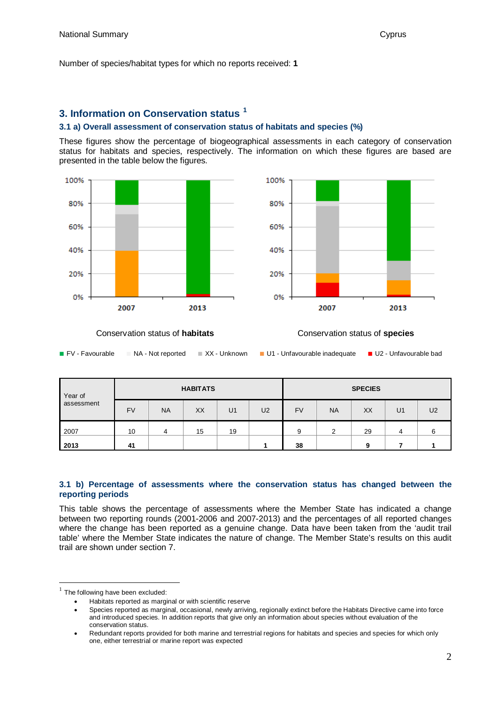Number of species/habitat types for which no reports received: **1**

## **3. Information on Conservation status [1](#page-1-0)**

#### **3.1 a) Overall assessment of conservation status of habitats and species (%)**

These figures show the percentage of biogeographical assessments in each category of conservation status for habitats and species, respectively. The information on which these figures are based are presented in the table below the figures.





Conservation status of **habitats** Conservation status of **species**

| Year of    | <b>HABITATS</b> |           |    |                | <b>SPECIES</b> |           |           |    |                |                |
|------------|-----------------|-----------|----|----------------|----------------|-----------|-----------|----|----------------|----------------|
| assessment | <b>FV</b>       | <b>NA</b> | XX | U <sub>1</sub> | U <sub>2</sub> | <b>FV</b> | <b>NA</b> | XX | U <sub>1</sub> | U <sub>2</sub> |
| 2007       | 10              | 4         | 15 | 19             |                | 9         | ◠         | 29 |                | 6              |
| 2013       | 41              |           |    |                |                | 38        |           | Ω  |                |                |

#### **3.1 b) Percentage of assessments where the conservation status has changed between the reporting periods**

This table shows the percentage of assessments where the Member State has indicated a change between two reporting rounds (2001-2006 and 2007-2013) and the percentages of all reported changes where the change has been reported as a genuine change. Data have been taken from the 'audit trail table' where the Member State indicates the nature of change. The Member State's results on this audit trail are shown under section 7.

<span id="page-1-0"></span> $1$  The following have been excluded:

<sup>•</sup> Habitats reported as marginal or with scientific reserve

<sup>•</sup> Species reported as marginal, occasional, newly arriving, regionally extinct before the Habitats Directive came into force and introduced species. In addition reports that give only an information about species without evaluation of the conservation status.

<sup>•</sup> Redundant reports provided for both marine and terrestrial regions for habitats and species and species for which only one, either terrestrial or marine report was expected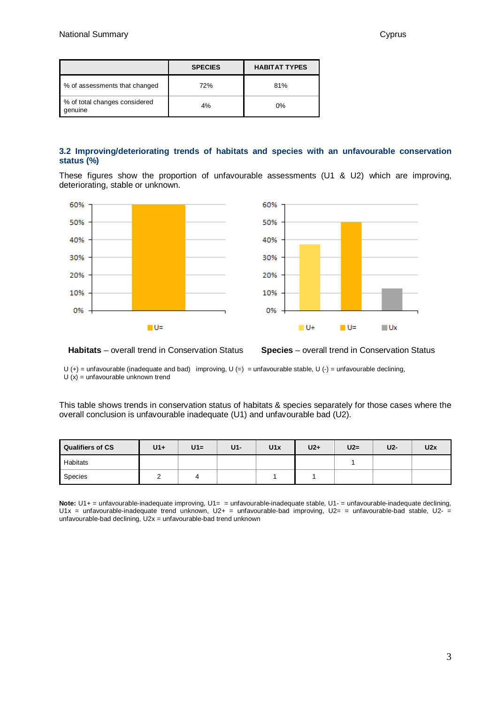|                                          | <b>SPECIES</b> | <b>HABITAT TYPES</b> |
|------------------------------------------|----------------|----------------------|
| % of assessments that changed            | 72%            | 81%                  |
| % of total changes considered<br>genuine | 4%             | 0%                   |

#### **3.2 Improving/deteriorating trends of habitats and species with an unfavourable conservation status (%)**

These figures show the proportion of unfavourable assessments (U1 & U2) which are improving, deteriorating, stable or unknown.



**Habitats** – overall trend in Conservation Status **Species** – overall trend in Conservation Status

U (+) = unfavourable (inadequate and bad) improving, U (=) = unfavourable stable, U (-) = unfavourable declining,  $U(x) =$  unfavourable unknown trend

This table shows trends in conservation status of habitats & species separately for those cases where the overall conclusion is unfavourable inadequate (U1) and unfavourable bad (U2).

| <b>Qualifiers of CS</b> | $U1+$ | $U1=$ | $U1-$ | U1x | $U2+$ | $U2=$ | U2- | U2x |
|-------------------------|-------|-------|-------|-----|-------|-------|-----|-----|
| Habitats                |       |       |       |     |       |       |     |     |
| Species                 |       | 4     |       |     |       |       |     |     |

**Note:** U1+ = unfavourable-inadequate improving, U1= = unfavourable-inadequate stable, U1- = unfavourable-inadequate declining, U1x = unfavourable-inadequate trend unknown, U2+ = unfavourable-bad improving, U2= = unfavourable-bad stable, U2- = unfavourable-bad declining, U2x = unfavourable-bad trend unknown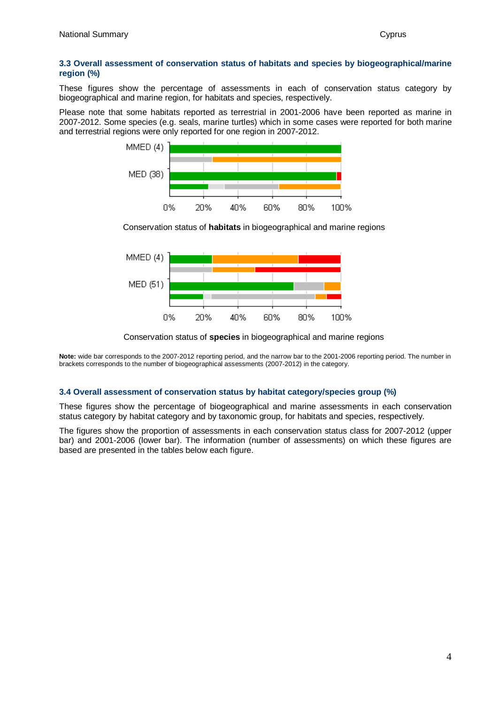#### **3.3 Overall assessment of conservation status of habitats and species by biogeographical/marine region (%)**

These figures show the percentage of assessments in each of conservation status category by biogeographical and marine region, for habitats and species, respectively.

Please note that some habitats reported as terrestrial in 2001-2006 have been reported as marine in 2007-2012. Some species (e.g. seals, marine turtles) which in some cases were reported for both marine and terrestrial regions were only reported for one region in 2007-2012.



Conservation status of **habitats** in biogeographical and marine regions



Conservation status of **species** in biogeographical and marine regions

**Note:** wide bar corresponds to the 2007-2012 reporting period, and the narrow bar to the 2001-2006 reporting period. The number in brackets corresponds to the number of biogeographical assessments (2007-2012) in the category.

#### **3.4 Overall assessment of conservation status by habitat category/species group (%)**

These figures show the percentage of biogeographical and marine assessments in each conservation status category by habitat category and by taxonomic group, for habitats and species, respectively.

The figures show the proportion of assessments in each conservation status class for 2007-2012 (upper bar) and 2001-2006 (lower bar). The information (number of assessments) on which these figures are based are presented in the tables below each figure.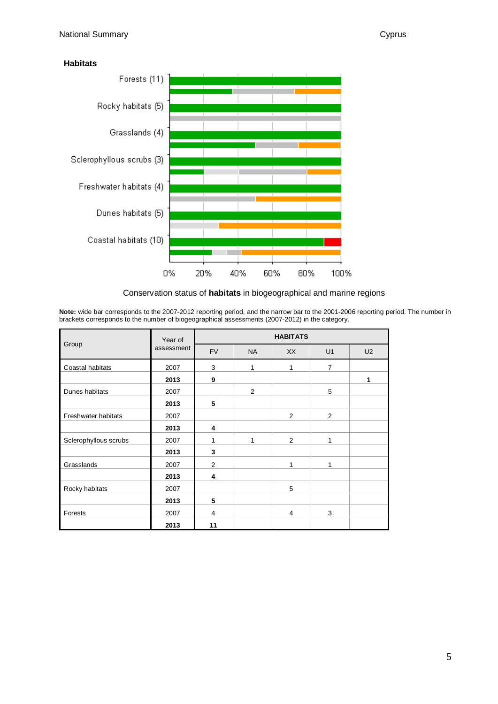**Habitats**



#### Conservation status of **habitats** in biogeographical and marine regions

**Note:** wide bar corresponds to the 2007-2012 reporting period, and the narrow bar to the 2001-2006 reporting period. The number in brackets corresponds to the number of biogeographical assessments (2007-2012) in the category.

|                       | Year of    | <b>HABITATS</b> |           |    |                |                |  |  |  |
|-----------------------|------------|-----------------|-----------|----|----------------|----------------|--|--|--|
| Group                 | assessment | <b>FV</b>       | <b>NA</b> | XX | U1             | U <sub>2</sub> |  |  |  |
| Coastal habitats      | 2007       | 3               | 1         | 1  | $\overline{7}$ |                |  |  |  |
|                       | 2013       | 9               |           |    |                | 1              |  |  |  |
| Dunes habitats        | 2007       |                 | 2         |    | 5              |                |  |  |  |
|                       | 2013       | 5               |           |    |                |                |  |  |  |
| Freshwater habitats   | 2007       |                 |           | 2  | 2              |                |  |  |  |
|                       | 2013       | 4               |           |    |                |                |  |  |  |
| Sclerophyllous scrubs | 2007       | 1               | 1         | 2  | 1              |                |  |  |  |
|                       | 2013       | 3               |           |    |                |                |  |  |  |
| Grasslands            | 2007       | $\overline{2}$  |           | 1  | 1              |                |  |  |  |
|                       | 2013       | 4               |           |    |                |                |  |  |  |
| Rocky habitats        | 2007       |                 |           | 5  |                |                |  |  |  |
|                       | 2013       | 5               |           |    |                |                |  |  |  |
| Forests               | 2007       | $\overline{4}$  |           | 4  | 3              |                |  |  |  |
|                       | 2013       | 11              |           |    |                |                |  |  |  |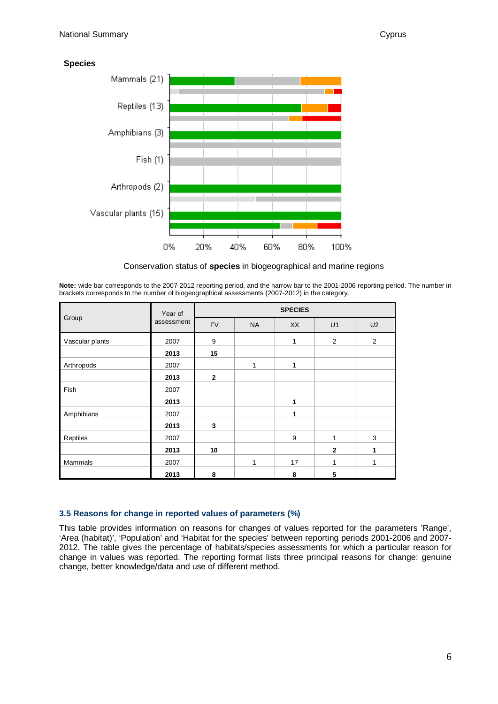**Species**



Conservation status of **species** in biogeographical and marine regions

**Note:** wide bar corresponds to the 2007-2012 reporting period, and the narrow bar to the 2001-2006 reporting period. The number in brackets corresponds to the number of biogeographical assessments (2007-2012) in the category.

|                 | Year of    | <b>SPECIES</b> |           |           |              |                |  |  |  |
|-----------------|------------|----------------|-----------|-----------|--------------|----------------|--|--|--|
| Group           | assessment | <b>FV</b>      | <b>NA</b> | <b>XX</b> | U1           | U <sub>2</sub> |  |  |  |
| Vascular plants | 2007       | 9              |           | 1         | 2            | 2              |  |  |  |
|                 | 2013       | 15             |           |           |              |                |  |  |  |
| Arthropods      | 2007       |                | 1         | 1         |              |                |  |  |  |
|                 | 2013       | $\overline{2}$ |           |           |              |                |  |  |  |
| Fish            | 2007       |                |           |           |              |                |  |  |  |
|                 | 2013       |                |           | 1         |              |                |  |  |  |
| Amphibians      | 2007       |                |           | 1         |              |                |  |  |  |
|                 | 2013       | 3              |           |           |              |                |  |  |  |
| Reptiles        | 2007       |                |           | 9         |              | 3              |  |  |  |
|                 | 2013       | 10             |           |           | $\mathbf{2}$ | 1              |  |  |  |
| <b>Mammals</b>  | 2007       |                | 1         | 17        | 1            | 1              |  |  |  |
|                 | 2013       | 8              |           | 8         | 5            |                |  |  |  |

#### **3.5 Reasons for change in reported values of parameters (%)**

This table provides information on reasons for changes of values reported for the parameters 'Range', 'Area (habitat)', 'Population' and 'Habitat for the species' between reporting periods 2001-2006 and 2007- 2012. The table gives the percentage of habitats/species assessments for which a particular reason for change in values was reported. The reporting format lists three principal reasons for change: genuine change, better knowledge/data and use of different method.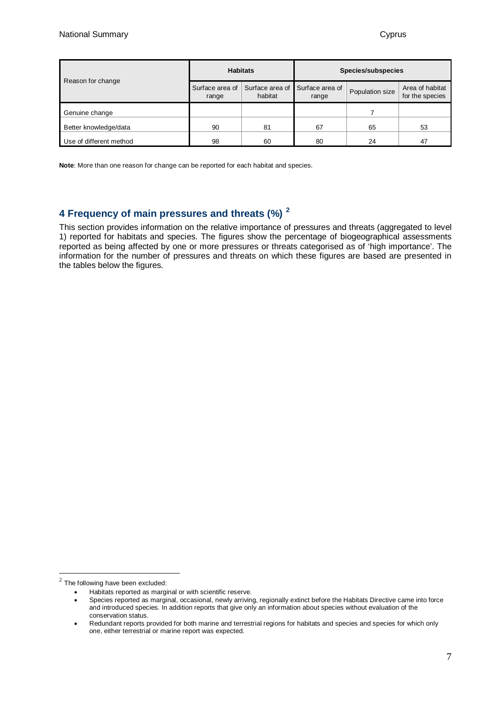| Reason for change       |                          | <b>Habitats</b>            | Species/subspecies       |                 |                                    |  |
|-------------------------|--------------------------|----------------------------|--------------------------|-----------------|------------------------------------|--|
|                         | Surface area of<br>range | Surface area of<br>habitat | Surface area of<br>range | Population size | Area of habitat<br>for the species |  |
| Genuine change          |                          |                            |                          |                 |                                    |  |
| Better knowledge/data   | 90                       | 81                         | 67                       | 65              | 53                                 |  |
| Use of different method | 98                       | 60                         | 80                       | 24              | 47                                 |  |

**Note**: More than one reason for change can be reported for each habitat and species.

## **4 Frequency of main pressures and threats (%) [2](#page-6-0)**

This section provides information on the relative importance of pressures and threats (aggregated to level 1) reported for habitats and species. The figures show the percentage of biogeographical assessments reported as being affected by one or more pressures or threats categorised as of 'high importance'. The information for the number of pressures and threats on which these figures are based are presented in the tables below the figures.

<span id="page-6-0"></span> $2$  The following have been excluded:

<sup>•</sup> Habitats reported as marginal or with scientific reserve.

<sup>•</sup> Species reported as marginal, occasional, newly arriving, regionally extinct before the Habitats Directive came into force and introduced species. In addition reports that give only an information about species without evaluation of the conservation status.

<sup>•</sup> Redundant reports provided for both marine and terrestrial regions for habitats and species and species for which only one, either terrestrial or marine report was expected.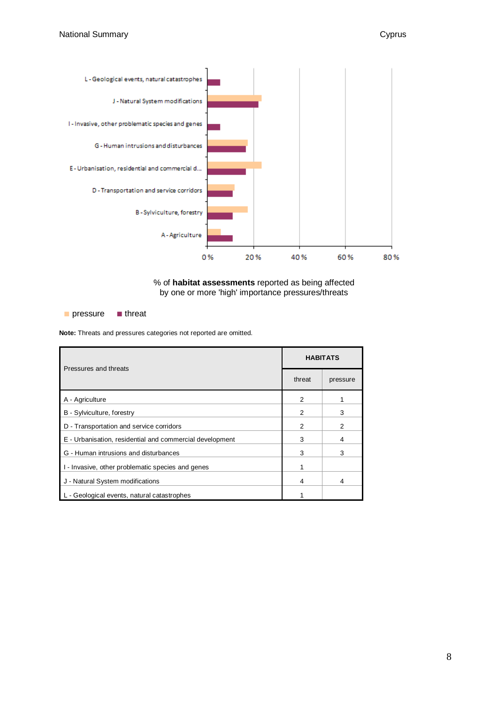

![](_page_7_Figure_3.jpeg)

■ pressure ■ threat

**Note:** Threats and pressures categories not reported are omitted.

| Pressures and threats                                    | <b>HABITATS</b> |                |  |  |
|----------------------------------------------------------|-----------------|----------------|--|--|
|                                                          | threat          | pressure       |  |  |
| A - Agriculture                                          | 2               |                |  |  |
| B - Sylviculture, forestry                               | 2               | 3              |  |  |
| D - Transportation and service corridors                 | $\overline{2}$  | $\overline{2}$ |  |  |
| E - Urbanisation, residential and commercial development | 3               | 4              |  |  |
| G - Human intrusions and disturbances                    | 3               | 3              |  |  |
| I - Invasive, other problematic species and genes        |                 |                |  |  |
| J - Natural System modifications                         | 4               | 4              |  |  |
| L - Geological events, natural catastrophes              |                 |                |  |  |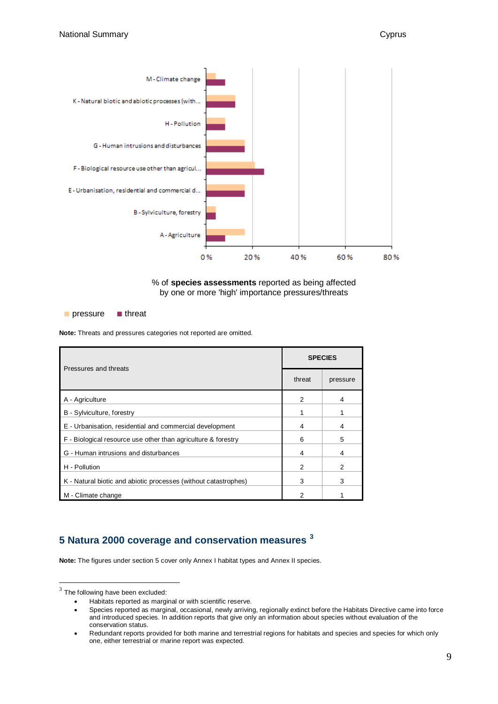![](_page_8_Figure_2.jpeg)

![](_page_8_Figure_3.jpeg)

■ pressure ■ threat

**Note:** Threats and pressures categories not reported are omitted.

| Pressures and threats                                           | <b>SPECIES</b> |          |  |  |
|-----------------------------------------------------------------|----------------|----------|--|--|
|                                                                 | threat         | pressure |  |  |
| A - Agriculture                                                 | 2              | 4        |  |  |
| B - Sylviculture, forestry                                      |                |          |  |  |
| E - Urbanisation, residential and commercial development        | 4              | 4        |  |  |
| F - Biological resource use other than agriculture & forestry   | 6              | 5        |  |  |
| G - Human intrusions and disturbances                           | 4              | 4        |  |  |
| H - Pollution                                                   | 2              | 2        |  |  |
| K - Natural biotic and abiotic processes (without catastrophes) | 3              | 3        |  |  |
| M - Climate change                                              | 2              |          |  |  |

## **5 Natura 2000 coverage and conservation measures [3](#page-8-0)**

**Note:** The figures under section 5 cover only Annex I habitat types and Annex II species.

<span id="page-8-0"></span> $3$  The following have been excluded:

<sup>•</sup> Habitats reported as marginal or with scientific reserve.

<sup>•</sup> Species reported as marginal, occasional, newly arriving, regionally extinct before the Habitats Directive came into force and introduced species. In addition reports that give only an information about species without evaluation of the conservation status.

<sup>•</sup> Redundant reports provided for both marine and terrestrial regions for habitats and species and species for which only one, either terrestrial or marine report was expected.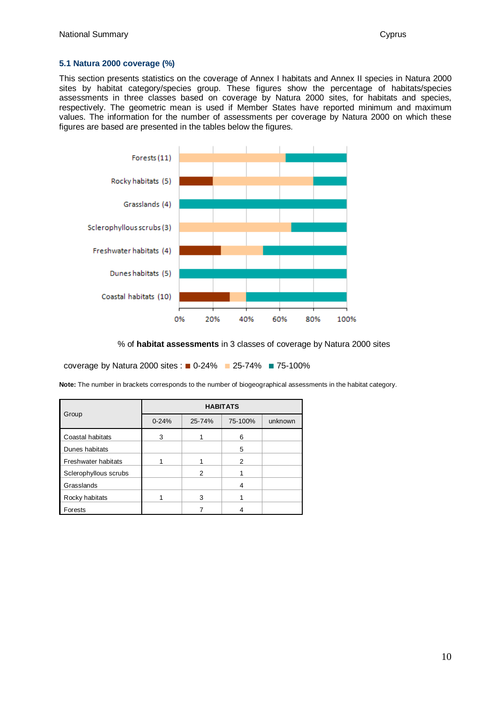#### **5.1 Natura 2000 coverage (%)**

This section presents statistics on the coverage of Annex I habitats and Annex II species in Natura 2000 sites by habitat category/species group. These figures show the percentage of habitats/species assessments in three classes based on coverage by Natura 2000 sites, for habitats and species, respectively. The geometric mean is used if Member States have reported minimum and maximum values. The information for the number of assessments per coverage by Natura 2000 on which these figures are based are presented in the tables below the figures.

![](_page_9_Figure_4.jpeg)

% of **habitat assessments** in 3 classes of coverage by Natura 2000 sites

coverage by Natura 2000 sites : ■ 0-24% ■ 25-74% ■ 75-100%

**Note:** The number in brackets corresponds to the number of biogeographical assessments in the habitat category.

|                            | <b>HABITATS</b> |        |                |         |  |  |  |  |
|----------------------------|-----------------|--------|----------------|---------|--|--|--|--|
| Group                      | $0 - 24%$       | 25-74% | 75-100%        | unknown |  |  |  |  |
| Coastal habitats           | 3               |        | 6              |         |  |  |  |  |
| Dunes habitats             |                 |        | 5              |         |  |  |  |  |
| <b>Freshwater habitats</b> |                 |        | $\overline{2}$ |         |  |  |  |  |
| Sclerophyllous scrubs      |                 | 2      |                |         |  |  |  |  |
| Grasslands                 |                 |        | 4              |         |  |  |  |  |
| Rocky habitats             |                 | 3      |                |         |  |  |  |  |
| Forests                    |                 |        |                |         |  |  |  |  |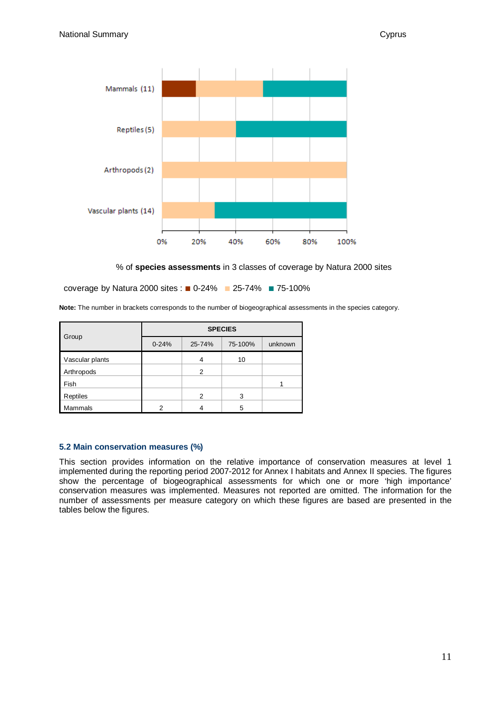![](_page_10_Figure_2.jpeg)

% of **species assessments** in 3 classes of coverage by Natura 2000 sites

coverage by Natura 2000 sites : ■ 0-24% ■ 25-74% ■ 75-100%

**Note:** The number in brackets corresponds to the number of biogeographical assessments in the species category.

|                 | <b>SPECIES</b> |               |         |         |  |  |  |
|-----------------|----------------|---------------|---------|---------|--|--|--|
| Group           | $0 - 24%$      | 25-74%        | 75-100% | unknown |  |  |  |
| Vascular plants |                |               | 10      |         |  |  |  |
| Arthropods      |                | $\mathcal{P}$ |         |         |  |  |  |
| Fish            |                |               |         |         |  |  |  |
| Reptiles        |                | 2             | 3       |         |  |  |  |
| Mammals         | ⌒              |               | 5       |         |  |  |  |

#### **5.2 Main conservation measures (%)**

This section provides information on the relative importance of conservation measures at level 1 implemented during the reporting period 2007-2012 for Annex I habitats and Annex II species. The figures show the percentage of biogeographical assessments for which one or more 'high importance' conservation measures was implemented. Measures not reported are omitted. The information for the number of assessments per measure category on which these figures are based are presented in the tables below the figures.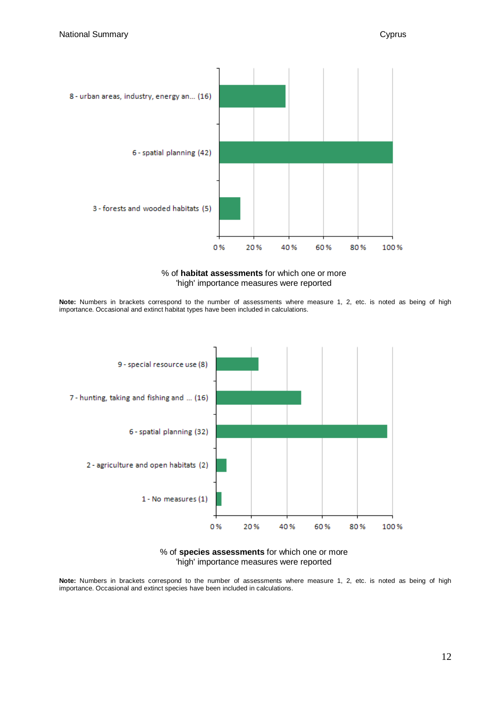![](_page_11_Figure_2.jpeg)

![](_page_11_Figure_3.jpeg)

**Note:** Numbers in brackets correspond to the number of assessments where measure 1, 2, etc. is noted as being of high importance. Occasional and extinct habitat types have been included in calculations.

![](_page_11_Figure_5.jpeg)

![](_page_11_Figure_6.jpeg)

**Note:** Numbers in brackets correspond to the number of assessments where measure 1, 2, etc. is noted as being of high importance. Occasional and extinct species have been included in calculations.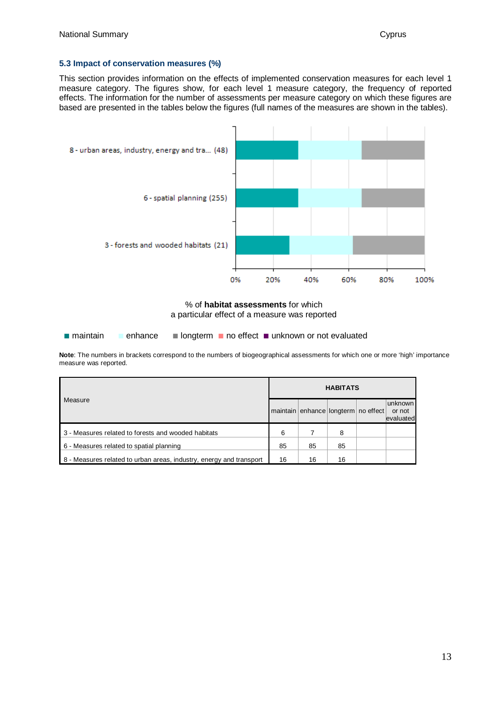#### **5.3 Impact of conservation measures (%)**

This section provides information on the effects of implemented conservation measures for each level 1 measure category. The figures show, for each level 1 measure category, the frequency of reported effects. The information for the number of assessments per measure category on which these figures are based are presented in the tables below the figures (full names of the measures are shown in the tables).

![](_page_12_Figure_4.jpeg)

% of **habitat assessments** for which a particular effect of a measure was reported

■ maintain ■ enhance ■ longterm ■ no effect ■ unknown or not evaluated

**Note**: The numbers in brackets correspond to the numbers of biogeographical assessments for which one or more 'high' importance measure was reported.

| Measure                                                             |    | <b>HABITATS</b> |                                     |  |                                |  |  |  |
|---------------------------------------------------------------------|----|-----------------|-------------------------------------|--|--------------------------------|--|--|--|
|                                                                     |    |                 | maintain enhance longterm no effect |  | unknown<br>or not<br>evaluated |  |  |  |
| 3 - Measures related to forests and wooded habitats                 | 6  |                 | 8                                   |  |                                |  |  |  |
| 6 - Measures related to spatial planning                            |    | 85              | 85                                  |  |                                |  |  |  |
| 8 - Measures related to urban areas, industry, energy and transport | 16 | 16              | 16                                  |  |                                |  |  |  |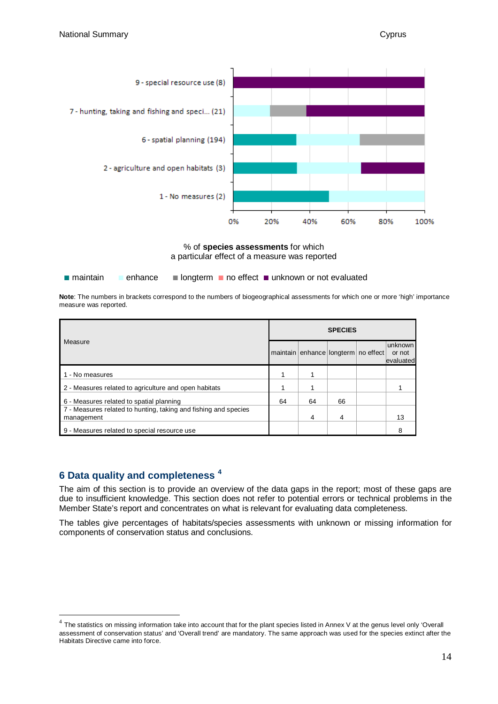![](_page_13_Figure_2.jpeg)

% of **species assessments** for which a particular effect of a measure was reported

■ maintain ■ enhance ■ longterm ■ no effect ■ unknown or not evaluated

**Note**: The numbers in brackets correspond to the numbers of biogeographical assessments for which one or more 'high' importance measure was reported.

|                                                                 |    | <b>SPECIES</b> |    |                                     |           |  |  |  |
|-----------------------------------------------------------------|----|----------------|----|-------------------------------------|-----------|--|--|--|
| Measure                                                         |    |                |    |                                     | unknown   |  |  |  |
|                                                                 |    |                |    | maintain enhance longterm no effect | or not    |  |  |  |
|                                                                 |    |                |    |                                     | evaluated |  |  |  |
| 1 - No measures                                                 |    |                |    |                                     |           |  |  |  |
| 2 - Measures related to agriculture and open habitats           |    |                |    |                                     |           |  |  |  |
| 6 - Measures related to spatial planning                        | 64 | 64             | 66 |                                     |           |  |  |  |
| 7 - Measures related to hunting, taking and fishing and species |    |                |    |                                     |           |  |  |  |
| management                                                      |    | 4              | 4  |                                     | 13        |  |  |  |
| 9 - Measures related to special resource use                    |    |                |    |                                     |           |  |  |  |

# **6 Data quality and completeness [4](#page-13-0)**

The aim of this section is to provide an overview of the data gaps in the report; most of these gaps are due to insufficient knowledge. This section does not refer to potential errors or technical problems in the Member State's report and concentrates on what is relevant for evaluating data completeness.

The tables give percentages of habitats/species assessments with unknown or missing information for components of conservation status and conclusions.

<span id="page-13-0"></span> $4$  The statistics on missing information take into account that for the plant species listed in Annex V at the genus level only 'Overall assessment of conservation status' and 'Overall trend' are mandatory. The same approach was used for the species extinct after the Habitats Directive came into force.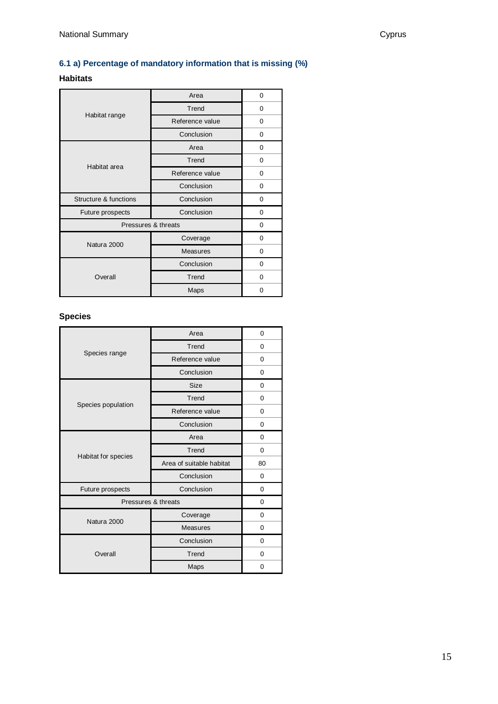## **6.1 a) Percentage of mandatory information that is missing (%)**

## **Habitats**

|                       | Area                | 0 |
|-----------------------|---------------------|---|
|                       | Trend               | 0 |
| Habitat range         | Reference value     | 0 |
|                       | Conclusion          | 0 |
|                       | Area                | 0 |
| Habitat area          | Trend               | 0 |
|                       | Reference value     | 0 |
|                       | Conclusion          | 0 |
|                       |                     |   |
| Structure & functions | Conclusion          | 0 |
| Future prospects      | Conclusion          | 0 |
|                       | Pressures & threats | 0 |
|                       | Coverage            | 0 |
| Natura 2000           | <b>Measures</b>     | 0 |
|                       | Conclusion          | 0 |
| Overall               | Trend               | 0 |

## **Species**

|                     | Area                     | 0        |
|---------------------|--------------------------|----------|
|                     | Trend                    | $\Omega$ |
| Species range       | Reference value          | 0        |
|                     | Conclusion               | 0        |
|                     | <b>Size</b>              | 0        |
| Species population  | Trend                    | 0        |
|                     | Reference value          | 0        |
|                     | Conclusion               | 0        |
|                     | Area                     | $\Omega$ |
|                     | Trend                    | $\Omega$ |
| Habitat for species | Area of suitable habitat | 80       |
|                     | Conclusion               | 0        |
| Future prospects    | Conclusion               | 0        |
| Pressures & threats |                          | $\Omega$ |
| Natura 2000         | Coverage                 | 0        |
|                     | <b>Measures</b>          | 0        |
|                     | Conclusion               | 0        |
| Overall             | Trend                    | 0        |
|                     | Maps                     | 0        |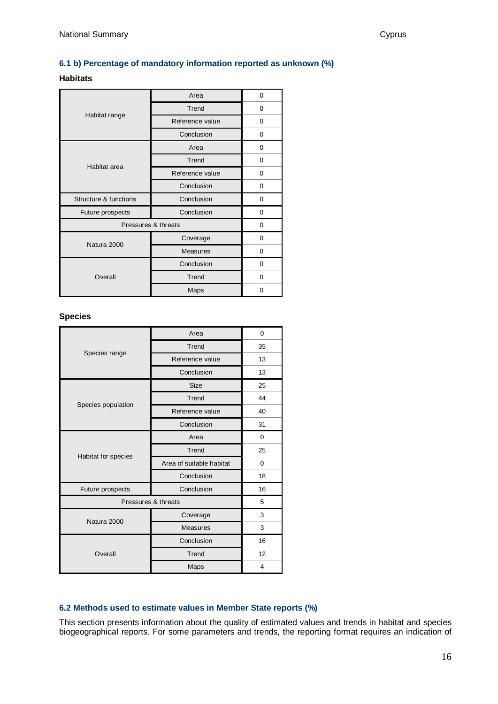#### **6.1 b) Percentage of mandatory information reported as unknown (%)**

### **Habitats**

|                       | Area                | 0        |
|-----------------------|---------------------|----------|
|                       | Trend               | 0        |
| Habitat range         | Reference value     | 0        |
|                       | Conclusion          | 0        |
|                       | Area                | 0        |
| Habitat area          | Trend               | 0        |
|                       | Reference value     | 0        |
|                       | Conclusion          | 0        |
|                       |                     |          |
| Structure & functions | Conclusion          | 0        |
| Future prospects      | Conclusion          | 0        |
|                       | Pressures & threats | $\Omega$ |
|                       | Coverage            | $\Omega$ |
| Natura 2000           | Measures            | 0        |
|                       | Conclusion          | 0        |
| Overall               | Trend               | 0        |

#### **Species**

|                     | Area                     | 0        |
|---------------------|--------------------------|----------|
|                     | Trend                    | 35       |
| Species range       | Reference value          | 13       |
|                     | Conclusion               | 13       |
|                     | <b>Size</b>              | 25       |
| Species population  | Trend                    | 44       |
|                     | Reference value          | 40       |
|                     | Conclusion               | 31       |
|                     | Area                     | $\Omega$ |
|                     | Trend                    | 25       |
| Habitat for species | Area of suitable habitat | 0        |
|                     | Conclusion               | 18       |
| Future prospects    | Conclusion               | 16       |
| Pressures & threats |                          | 5        |
| Natura 2000         | Coverage                 | 3        |
|                     | <b>Measures</b>          | 3        |
|                     | Conclusion               | 16       |
| Overall             | Trend                    | 12       |
|                     | Maps                     | 4        |

#### **6.2 Methods used to estimate values in Member State reports (%)**

This section presents information about the quality of estimated values and trends in habitat and species biogeographical reports. For some parameters and trends, the reporting format requires an indication of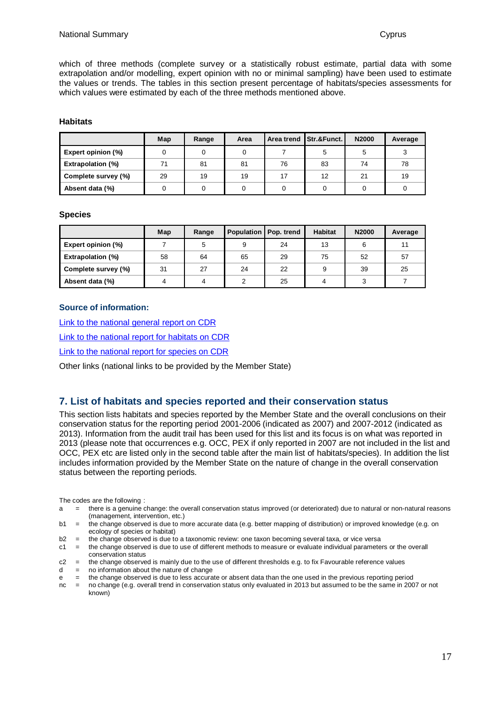which of three methods (complete survey or a statistically robust estimate, partial data with some extrapolation and/or modelling, expert opinion with no or minimal sampling) have been used to estimate the values or trends. The tables in this section present percentage of habitats/species assessments for which values were estimated by each of the three methods mentioned above.

#### **Habitats**

|                          | Map | Range | Area |    | Area trend Str.&Funct. | N2000 | Average |
|--------------------------|-----|-------|------|----|------------------------|-------|---------|
| Expert opinion (%)       |     |       |      |    | 5                      | 5     |         |
| <b>Extrapolation (%)</b> | 71  | 81    | 81   | 76 | 83                     | 74    | 78      |
| Complete survey (%)      | 29  | 19    | 19   | 17 | 12                     | 21    | 19      |
| Absent data (%)          |     |       |      |    |                        |       |         |

#### **Species**

|                          | Map | Range | Population   Pop. trend |    | <b>Habitat</b> | N2000 | Average |
|--------------------------|-----|-------|-------------------------|----|----------------|-------|---------|
| Expert opinion (%)       |     |       | 9                       | 24 | 13             | 6     | 11      |
| <b>Extrapolation (%)</b> | 58  | 64    | 65                      | 29 | 75             | 52    | 57      |
| Complete survey (%)      | 31  | 27    | 24                      | 22 | 9              | 39    | 25      |
| Absent data (%)          |     |       |                         | 25 | 4              |       |         |

#### **Source of information:**

[Link to the national general report on CDR](http://cdr.eionet.europa.eu/Converters/run_conversion?file=cy/eu/art17/envujpbvg/CY_habitats_general_report.xml&conv=348&source=remote) [Link to the national report for habitats on CDR](http://cdr.eionet.europa.eu/Converters/run_conversion?file=cy/eu/art17/envujpbvg/CY_habitats_reports.xml&conv=350&source=remote) [Link to the national report for species on CDR](http://cdr.eionet.europa.eu/Converters/run_conversion?file=cy/eu/art17/envujpbvg/CY_species_reports.xml&conv=354&source=remote)

Other links (national links to be provided by the Member State)

### **7. List of habitats and species reported and their conservation status**

This section lists habitats and species reported by the Member State and the overall conclusions on their conservation status for the reporting period 2001-2006 (indicated as 2007) and 2007-2012 (indicated as 2013). Information from the audit trail has been used for this list and its focus is on what was reported in 2013 (please note that occurrences e.g. OCC, PEX if only reported in 2007 are not included in the list and OCC, PEX etc are listed only in the second table after the main list of habitats/species). In addition the list includes information provided by the Member State on the nature of change in the overall conservation status between the reporting periods.

The codes are the following :

- a = there is a genuine change: the overall conservation status improved (or deteriorated) due to natural or non-natural reasons (management, intervention, etc.)
- b1 = the change observed is due to more accurate data (e.g. better mapping of distribution) or improved knowledge (e.g. on ecology of species or habitat)
- $b2 =$  the change observed is due to a taxonomic review: one taxon becoming several taxa, or vice versa<br> $c1 =$  the change observed is due to use of different methods to measure or evaluate individual parameter

= the change observed is due to use of different methods to measure or evaluate individual parameters or the overall conservation status

c2 = the change observed is mainly due to the use of different thresholds e.g. to fix Favourable reference values  $d = no$  information about the nature of change

- no information about the nature of change
- e = the change observed is due to less accurate or absent data than the one used in the previous reporting period

nc = no change (e.g. overall trend in conservation status only evaluated in 2013 but assumed to be the same in 2007 or not known)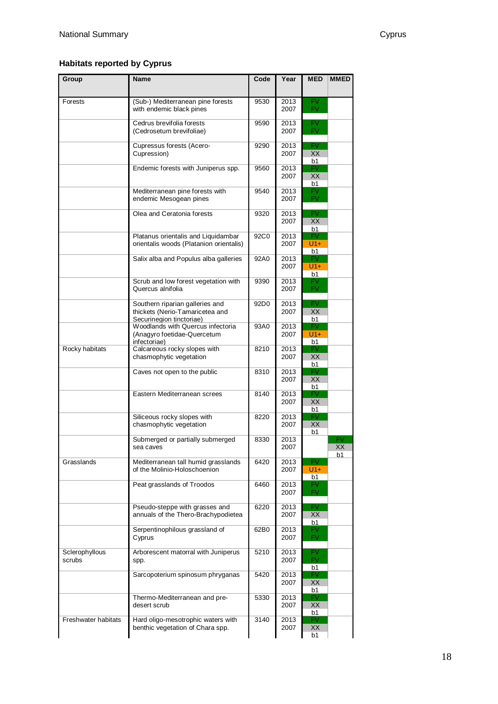# **Habitats reported by Cyprus**

| Group                    | <b>Name</b>                                                                                    | Code             | Year         | <b>MED</b>               | <b>MMED</b> |
|--------------------------|------------------------------------------------------------------------------------------------|------------------|--------------|--------------------------|-------------|
| Forests                  | (Sub-) Mediterranean pine forests<br>with endemic black pines                                  | 9530             | 2013<br>2007 | FV<br><b>FV</b>          |             |
|                          | Cedrus brevifolia forests<br>(Cedrosetum brevifoliae)                                          | 9590             | 2013<br>2007 | FV.<br>FV.               |             |
|                          | Cupressus forests (Acero-<br>Cupression)                                                       | 9290             | 2013<br>2007 | FV<br>XX<br>b1           |             |
|                          | Endemic forests with Juniperus spp.                                                            | 9560             | 2013<br>2007 | FV<br>XХ<br>b1           |             |
|                          | Mediterranean pine forests with<br>endemic Mesogean pines                                      | 9540             | 2013<br>2007 | FV<br><b>FV</b>          |             |
|                          | Olea and Ceratonia forests                                                                     | 9320             | 2013<br>2007 | <b>FV</b><br>XX<br>b1    |             |
|                          | Platanus orientalis and Liquidambar<br>orientalis woods (Platanion orientalis)                 | 92C0             | 2013<br>2007 | <b>FV</b><br>$U1+$<br>b1 |             |
|                          | Salix alba and Populus alba galleries                                                          | 92A0             | 2013<br>2007 | FV.<br>$U1+$<br>b1       |             |
|                          | Scrub and low forest vegetation with<br>Quercus alnifolia                                      | 9390             | 2013<br>2007 | FV<br>FV.                |             |
|                          | Southern riparian galleries and<br>thickets (Nerio-Tamaricetea and<br>Securinegion tinctoriae) | 92D <sub>0</sub> | 2013<br>2007 | FV.<br>XX<br>b1          |             |
|                          | Woodlands with Quercus infectoria<br>(Anagyro foetidae-Quercetum<br>infectoriae)               | 93A0             | 2013<br>2007 | FV.<br>$U1+$<br>b1       |             |
| Rocky habitats           | Calcareous rocky slopes with<br>chasmophytic vegetation                                        | 8210             | 2013<br>2007 | FV.<br>XХ<br>b1          |             |
|                          | Caves not open to the public                                                                   | 8310             | 2013<br>2007 | FV.<br>XХ<br>b1          |             |
|                          | Eastern Mediterranean screes                                                                   | 8140             | 2013<br>2007 | FV<br>XХ<br>b1           |             |
|                          | Siliceous rocky slopes with<br>chasmophytic vegetation                                         | 8220             | 2013<br>2007 | <b>FV</b><br>XХ<br>b1    |             |
|                          | Submerged or partially submerged<br>sea caves                                                  | 8330             | 2013<br>2007 |                          | XХ<br>b1    |
| Grasslands               | Mediterranean tall humid grasslands<br>of the Molinio-Holoschoenion                            | 6420             | 2013<br>2007 | FV.<br>$U1+$<br>b1       |             |
|                          | Peat grasslands of Troodos                                                                     | 6460             | 2013<br>2007 | FV.<br>FV.               |             |
|                          | Pseudo-steppe with grasses and<br>annuals of the Thero-Brachypodietea                          | 6220             | 2013<br>2007 | FV<br>XX<br>b1           |             |
|                          | Serpentinophilous grassland of<br>Cyprus                                                       | 62B0             | 2013<br>2007 | FV.<br><b>FV</b>         |             |
| Sclerophyllous<br>scrubs | Arborescent matorral with Juniperus<br>spp.                                                    | 5210             | 2013<br>2007 | FV.<br>FV.<br>b1         |             |
|                          | Sarcopoterium spinosum phryganas                                                               | 5420             | 2013<br>2007 | FV<br>XХ<br>b1           |             |
|                          | Thermo-Mediterranean and pre-<br>desert scrub                                                  | 5330             | 2013<br>2007 | FV.<br>XХ<br>b1          |             |
| Freshwater habitats      | Hard oligo-mesotrophic waters with<br>benthic vegetation of Chara spp.                         | 3140             | 2013<br>2007 | FV<br>XХ<br>b1           |             |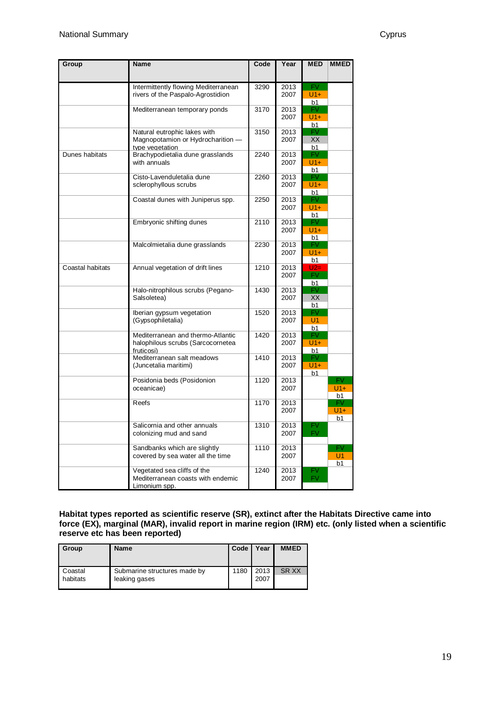| Group            | <b>Name</b>                                                                          | Code | Year         | <b>MED</b>                     | <b>MMED</b>                             |
|------------------|--------------------------------------------------------------------------------------|------|--------------|--------------------------------|-----------------------------------------|
|                  | Intermittently flowing Mediterranean<br>rivers of the Paspalo-Agrostidion            | 3290 | 2013<br>2007 | FV.<br>$U1+$<br>b1             |                                         |
|                  | Mediterranean temporary ponds                                                        | 3170 | 2013<br>2007 | FV.<br>$U1+$<br>b1             |                                         |
|                  | Natural eutrophic lakes with<br>Magnopotamion or Hydrocharition -<br>type vegetation | 3150 | 2013<br>2007 | FV<br>XX<br>b1                 |                                         |
| Dunes habitats   | Brachypodietalia dune grasslands<br>with annuals                                     | 2240 | 2013<br>2007 | FV.<br>$U1+$<br>b1             |                                         |
|                  | Cisto-Lavenduletalia dune<br>sclerophyllous scrubs                                   | 2260 | 2013<br>2007 | FV.<br>$U1+$<br>b1             |                                         |
|                  | Coastal dunes with Juniperus spp.                                                    | 2250 | 2013<br>2007 | FV.<br>$U1+$<br>b1             |                                         |
|                  | Embryonic shifting dunes                                                             | 2110 | 2013<br>2007 | FV.<br>$U1+$<br>b1             |                                         |
|                  | Malcolmietalia dune grasslands                                                       | 2230 | 2013<br>2007 | FV.<br>$U1+$<br>b1             |                                         |
| Coastal habitats | Annual vegetation of drift lines                                                     | 1210 | 2013<br>2007 | $U2=$<br>FV.<br>b <sub>1</sub> |                                         |
|                  | Halo-nitrophilous scrubs (Pegano-<br>Salsoletea)                                     | 1430 | 2013<br>2007 | FV.<br><b>XX</b><br>b1         |                                         |
|                  | Iberian gypsum vegetation<br>(Gypsophiletalia)                                       | 1520 | 2013<br>2007 | FV.<br>U1<br>b1                |                                         |
|                  | Mediterranean and thermo-Atlantic<br>halophilous scrubs (Sarcocornetea<br>fruticosi) | 1420 | 2013<br>2007 | FV.<br>$U1+$<br>b1             |                                         |
|                  | Mediterranean salt meadows<br>(Juncetalia maritimi)                                  | 1410 | 2013<br>2007 | FV.<br>$U1+$<br>b1             |                                         |
|                  | Posidonia beds (Posidonion<br>oceanicae)                                             | 1120 | 2013<br>2007 |                                | <b>FV</b><br>$U1+$<br>b <sub>1</sub>    |
|                  | Reefs                                                                                | 1170 | 2013<br>2007 |                                | <b>FV</b><br>$U1+$<br>b <sub>1</sub>    |
|                  | Salicornia and other annuals<br>colonizing mud and sand                              | 1310 | 2013<br>2007 | FV<br><b>FV</b>                |                                         |
|                  | Sandbanks which are slightly<br>covered by sea water all the time                    | 1110 | 2013<br>2007 |                                | FV.<br>U <sub>1</sub><br>b <sub>1</sub> |
|                  | Vegetated sea cliffs of the<br>Mediterranean coasts with endemic<br>Limonium spp.    | 1240 | 2013<br>2007 | FV<br><b>FV</b>                |                                         |

**Habitat types reported as scientific reserve (SR), extinct after the Habitats Directive came into force (EX), marginal (MAR), invalid report in marine region (IRM) etc. (only listed when a scientific reserve etc has been reported)**

| Group               | <b>Name</b>                                   | Code | Year         | <b>MMED</b> |
|---------------------|-----------------------------------------------|------|--------------|-------------|
| Coastal<br>habitats | Submarine structures made by<br>leaking gases | 1180 | 2013<br>2007 | SR XX       |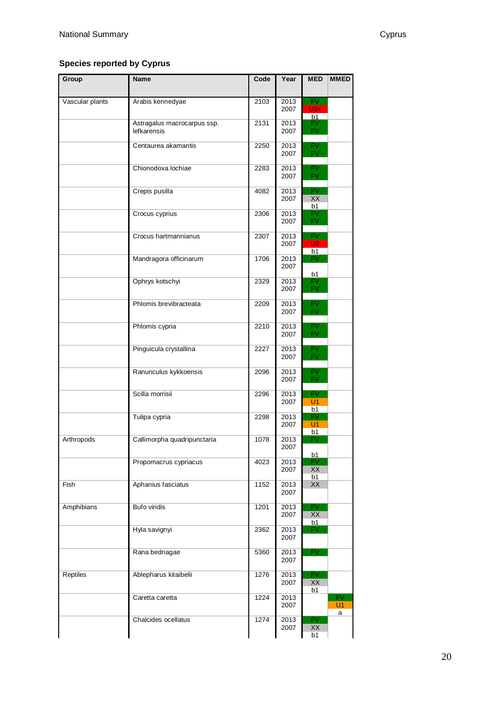## **Species reported by Cyprus**

| Group           | <b>Name</b>                                | Code | Year         | <b>MED</b>                     | <b>MMED</b>     |
|-----------------|--------------------------------------------|------|--------------|--------------------------------|-----------------|
| Vascular plants | Arabis kennedyae                           | 2103 | 2013<br>2007 | <b>FV</b><br>$U2+$             |                 |
|                 | Astragalus macrocarpus ssp.<br>lefkarensis | 2131 | 2013<br>2007 | h1<br>FV.<br>FV.               |                 |
|                 | Centaurea akamantis                        | 2250 | 2013<br>2007 | FV.<br>FV.                     |                 |
|                 | Chionodoxa lochiae                         | 2283 | 2013<br>2007 | FV.<br>FV.                     |                 |
|                 | Crepis pusilla                             | 4082 | 2013<br>2007 | $\overline{\mathsf{FV}}$<br>XX |                 |
|                 | Crocus cyprius                             | 2306 | 2013<br>2007 | b1<br>FV<br><b>FV</b>          |                 |
|                 | Crocus hartmannianus                       | 2307 | 2013<br>2007 | <b>FV</b><br>U <sub>2</sub>    |                 |
|                 | Mandragora officinarum                     | 1706 | 2013<br>2007 | b1<br>FV.                      |                 |
|                 | Ophrys kotschyi                            | 2329 | 2013<br>2007 | b1<br>FV<br>FV.                |                 |
|                 | Phlomis brevibracteata                     | 2209 | 2013<br>2007 | FV.<br><b>FV</b>               |                 |
|                 | Phlomis cypria                             | 2210 | 2013<br>2007 | FV.<br><b>FV</b>               |                 |
|                 | Pinguicula crystallina                     | 2227 | 2013<br>2007 | FV.<br>FV.                     |                 |
|                 | Ranunculus kykkoensis                      | 2096 | 2013<br>2007 | FV<br><b>FV</b>                |                 |
|                 | Scilla morrisii                            | 2296 | 2013<br>2007 | <b>FV</b><br>U1                |                 |
|                 | Tulipa cypria                              | 2298 | 2013<br>2007 | b1<br>FV<br>U <sub>1</sub>     |                 |
| Arthropods      | Callimorpha quadripunctaria                | 1078 | 2013<br>2007 | b1<br>FV                       |                 |
|                 | Propomacrus cypriacus                      | 4023 | 2013<br>2007 | b1<br><b>FV</b><br>XX          |                 |
| Fish            | Aphanius fasciatus                         | 1152 | 2013<br>2007 | b1<br>XX                       |                 |
| Amphibians      | <b>Bufo viridis</b>                        | 1201 | 2013<br>2007 | FV.<br>XX                      |                 |
|                 | Hyla savignyi                              | 2362 | 2013<br>2007 | b1<br>FV.                      |                 |
|                 | Rana bedriagae                             | 5360 | 2013<br>2007 | FV.                            |                 |
| <b>Reptiles</b> | Ablepharus kitaibelii                      | 1276 | 2013<br>2007 | <b>FV</b><br>XX                |                 |
|                 | Caretta caretta                            | 1224 | 2013<br>2007 | b1                             | <b>FV</b><br>U1 |
|                 | Chalcides ocellatus                        | 1274 | 2013<br>2007 | FV<br>XX<br>b1                 | a               |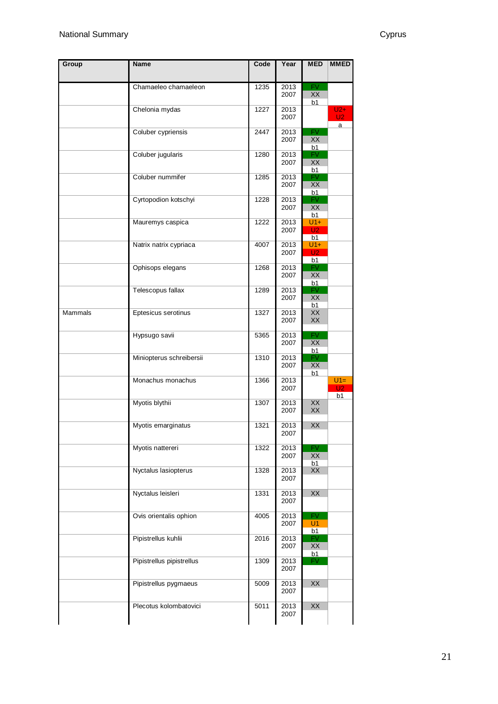| Group          | <b>Name</b>               | Code | Year         | <b>MED</b>                           | <b>MMED</b>                    |
|----------------|---------------------------|------|--------------|--------------------------------------|--------------------------------|
|                | Chamaeleo chamaeleon      | 1235 | 2013         | <b>FV</b>                            |                                |
|                |                           |      | 2007         | XX<br>b1                             |                                |
|                | Chelonia mydas            | 1227 | 2013<br>2007 |                                      | $U2+$<br>U <sub>2</sub>        |
|                | Coluber cypriensis        | 2447 | 2013<br>2007 | <b>FV</b><br>XX                      | a                              |
|                | Coluber jugularis         | 1280 | 2013<br>2007 | b1<br>FV<br>XX<br>b1                 |                                |
|                | Coluber nummifer          | 1285 | 2013<br>2007 | <b>FV</b><br>XX<br>b1                |                                |
|                | Cyrtopodion kotschyi      | 1228 | 2013<br>2007 | <b>FV</b><br>XX<br>b1                |                                |
|                | Mauremys caspica          | 1222 | 2013<br>2007 | $U1+$<br>U <sub>2</sub><br>b1        |                                |
|                | Natrix natrix cypriaca    | 4007 | 2013<br>2007 | $U1+$<br>U <sub>2</sub><br>b1        |                                |
|                | Ophisops elegans          | 1268 | 2013<br>2007 | <b>FV</b><br>XX<br>b1                |                                |
|                | Telescopus fallax         | 1289 | 2013<br>2007 | <b>FV</b><br>XX<br>b1                |                                |
| <b>Mammals</b> | Eptesicus serotinus       | 1327 | 2013<br>2007 | XX<br>XX                             |                                |
|                | Hypsugo savii             | 5365 | 2013<br>2007 | <b>FV</b><br>XX<br>b1                |                                |
|                | Miniopterus schreibersii  | 1310 | 2013<br>2007 | $\overline{\mathsf{FV}}$<br>XX<br>b1 |                                |
|                | Monachus monachus         | 1366 | 2013<br>2007 |                                      | $U1 =$<br>U <sub>2</sub><br>b1 |
|                | Myotis blythii            | 1307 | 2013<br>2007 | XX<br>XX                             |                                |
|                | Myotis emarginatus        | 1321 | 2013<br>2007 | XX                                   |                                |
|                | Myotis nattereri          | 1322 | 2013<br>2007 | <b>FV</b><br>XX<br>b1                |                                |
|                | Nyctalus lasiopterus      | 1328 | 2013<br>2007 | XX                                   |                                |
|                | Nyctalus leisleri         | 1331 | 2013<br>2007 | XX                                   |                                |
|                | Ovis orientalis ophion    | 4005 | 2013<br>2007 | <b>FV</b><br>U <sub>1</sub><br>b1    |                                |
|                | Pipistrellus kuhlii       | 2016 | 2013<br>2007 | FV<br>XX<br>b1                       |                                |
|                | Pipistrellus pipistrellus | 1309 | 2013<br>2007 | FV.                                  |                                |
|                | Pipistrellus pygmaeus     | 5009 | 2013<br>2007 | XX                                   |                                |
|                | Plecotus kolombatovici    | 5011 | 2013<br>2007 | XX                                   |                                |